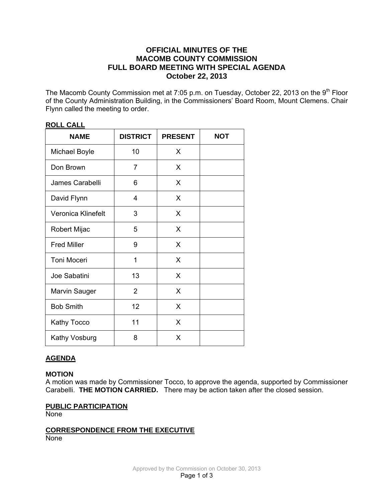## **OFFICIAL MINUTES OF THE MACOMB COUNTY COMMISSION FULL BOARD MEETING WITH SPECIAL AGENDA October 22, 2013**

The Macomb County Commission met at 7:05 p.m. on Tuesday, October 22, 2013 on the 9<sup>th</sup> Floor of the County Administration Building, in the Commissioners' Board Room, Mount Clemens. Chair Flynn called the meeting to order.

| <b>NAME</b>          | <b>DISTRICT</b> | <b>PRESENT</b> | <b>NOT</b> |
|----------------------|-----------------|----------------|------------|
| <b>Michael Boyle</b> | 10              | X              |            |
| Don Brown            | 7               | X              |            |
| James Carabelli      | 6               | X              |            |
| David Flynn          | 4               | X              |            |
| Veronica Klinefelt   | 3               | X              |            |
| Robert Mijac         | 5               | X              |            |
| <b>Fred Miller</b>   | 9               | X              |            |
| <b>Toni Moceri</b>   | 1               | X              |            |
| Joe Sabatini         | 13              | X              |            |
| <b>Marvin Sauger</b> | $\overline{2}$  | X              |            |
| <b>Bob Smith</b>     | 12              | X              |            |
| <b>Kathy Tocco</b>   | 11              | X              |            |
| <b>Kathy Vosburg</b> | 8               | X              |            |

## **ROLL CALL**

# **AGENDA**

## **MOTION**

A motion was made by Commissioner Tocco, to approve the agenda, supported by Commissioner Carabelli. **THE MOTION CARRIED.** There may be action taken after the closed session.

#### **PUBLIC PARTICIPATION**

None

## **CORRESPONDENCE FROM THE EXECUTIVE** None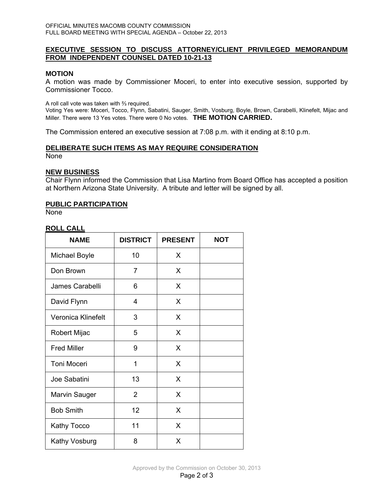## **EXECUTIVE SESSION TO DISCUSS ATTORNEY/CLIENT PRIVILEGED MEMORANDUM FROM INDEPENDENT COUNSEL DATED 10-21-13**

### **MOTION**

A motion was made by Commissioner Moceri, to enter into executive session, supported by Commissioner Tocco.

A roll call vote was taken with ⅔ required.

Voting Yes were: Moceri, Tocco, Flynn, Sabatini, Sauger, Smith, Vosburg, Boyle, Brown, Carabelli, Klinefelt, Mijac and Miller. There were 13 Yes votes. There were 0 No votes. **THE MOTION CARRIED.** 

The Commission entered an executive session at 7:08 p.m. with it ending at 8:10 p.m.

# **DELIBERATE SUCH ITEMS AS MAY REQUIRE CONSIDERATION**

None

#### **NEW BUSINESS**

Chair Flynn informed the Commission that Lisa Martino from Board Office has accepted a position at Northern Arizona State University. A tribute and letter will be signed by all.

### **PUBLIC PARTICIPATION**

None

## **ROLL CALL**

| <b>NAME</b>          | <b>DISTRICT</b> | <b>PRESENT</b> | <b>NOT</b> |
|----------------------|-----------------|----------------|------------|
| Michael Boyle        | 10              | X              |            |
| Don Brown            | 7               | X              |            |
| James Carabelli      | 6               | X              |            |
| David Flynn          | 4               | X              |            |
| Veronica Klinefelt   | 3               | X              |            |
| Robert Mijac         | 5               | X              |            |
| <b>Fred Miller</b>   | 9               | X              |            |
| <b>Toni Moceri</b>   | 1               | X              |            |
| Joe Sabatini         | 13              | X              |            |
| Marvin Sauger        | $\overline{2}$  | X              |            |
| <b>Bob Smith</b>     | 12              | X              |            |
| Kathy Tocco          | 11              | X              |            |
| <b>Kathy Vosburg</b> | 8               | X              |            |